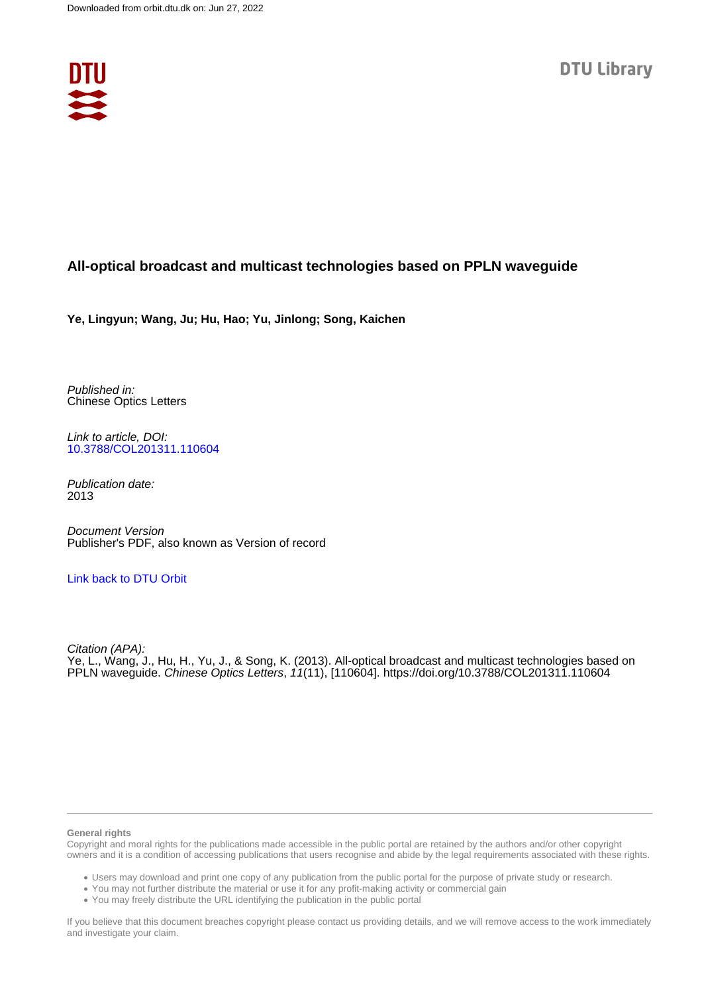

## **All-optical broadcast and multicast technologies based on PPLN waveguide**

**Ye, Lingyun; Wang, Ju; Hu, Hao; Yu, Jinlong; Song, Kaichen**

Published in: Chinese Optics Letters

Link to article, DOI: [10.3788/COL201311.110604](https://doi.org/10.3788/COL201311.110604)

Publication date: 2013

Document Version Publisher's PDF, also known as Version of record

### [Link back to DTU Orbit](https://orbit.dtu.dk/en/publications/fc9937f0-2e62-47fa-a9ae-4042a3792d1f)

Citation (APA): Ye, L., Wang, J., Hu, H., Yu, J., & Song, K. (2013). All-optical broadcast and multicast technologies based on PPLN waveguide. Chinese Optics Letters, 11(11), [110604]. <https://doi.org/10.3788/COL201311.110604>

#### **General rights**

Copyright and moral rights for the publications made accessible in the public portal are retained by the authors and/or other copyright owners and it is a condition of accessing publications that users recognise and abide by the legal requirements associated with these rights.

Users may download and print one copy of any publication from the public portal for the purpose of private study or research.

- You may not further distribute the material or use it for any profit-making activity or commercial gain
- You may freely distribute the URL identifying the publication in the public portal

If you believe that this document breaches copyright please contact us providing details, and we will remove access to the work immediately and investigate your claim.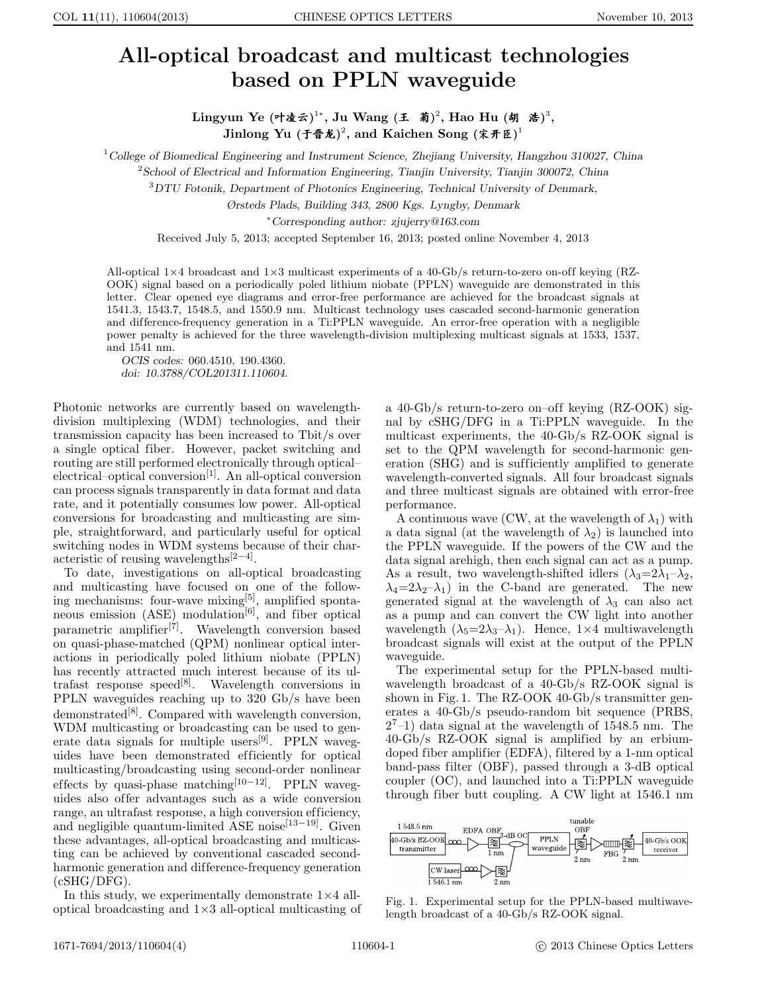# All-optical broadcast and multicast technologies based on PPLN waveguide

Lingyun Ye (叶凌云)<sup>1</sup>\*, Ju Wang (王 菊)<sup>2</sup>, Hao Hu (胡 浩)<sup>3</sup>,  $\mathbf{J}$ inlong  $\mathbf{Yu} \ (\mathbf{\hat{\tau} \hat{\mathbf{\hat{\pi}}} \hat{\mathbf{\hat{z}}})^2,$  and  $\mathbf{Kaichen}$   $\mathbf{Song} \ (\mathbf{\hat{x} \hat{\pi} \hat{\mathbf{\hat{z}}})^1}$ 

<sup>1</sup>College of Biomedical Engineering and Instrument Science, Zhejiang University, Hangzhou 310027, China

 $2$ School of Electrical and Information Engineering, Tianjin University, Tianjin 300072, China

<sup>3</sup>DTU Fotonik, Department of Photonics Engineering, Technical University of Denmark,

Ørsteds Plads, Building 343, 2800 Kgs. Lyngby, Denmark

<sup>∗</sup>Corresponding author: zjujerry@163.com

Received July 5, 2013; accepted September 16, 2013; posted online November 4, 2013

All-optical  $1\times4$  broadcast and  $1\times3$  multicast experiments of a 40-Gb/s return-to-zero on-off keying (RZ-OOK) signal based on a periodically poled lithium niobate (PPLN) waveguide are demonstrated in this letter. Clear opened eye diagrams and error-free performance are achieved for the broadcast signals at 1541.3, 1543.7, 1548.5, and 1550.9 nm. Multicast technology uses cascaded second-harmonic generation and difference-frequency generation in a Ti:PPLN waveguide. An error-free operation with a negligible power penalty is achieved for the three wavelength-division multiplexing multicast signals at 1533, 1537, and 1541 nm.

OCIS codes: 060.4510, 190.4360. doi: 10.3788/COL201311.110604.

Photonic networks are currently based on wavelengthdivision multiplexing (WDM) technologies, and their transmission capacity has been increased to Tbit/s over a single optical fiber. However, packet switching and routing are still performed electronically through optical– electrical–optical conversion<sup>[1]</sup>. An all-optical conversion can process signals transparently in data format and data rate, and it potentially consumes low power. All-optical conversions for broadcasting and multicasting are simple, straightforward, and particularly useful for optical switching nodes in WDM systems because of their characteristic of reusing wavelengths[2−4] .

To date, investigations on all-optical broadcasting and multicasting have focused on one of the following mechanisms: four-wave mixing[5], amplified spontaneous emission  $(ASE)$  modulation<sup>[6]</sup>, and fiber optical parametric amplifier<sup>[7]</sup>. Wavelength conversion based on quasi-phase-matched (QPM) nonlinear optical interactions in periodically poled lithium niobate (PPLN) has recently attracted much interest because of its ultrafast response speed<sup>[8]</sup>. Wavelength conversions in PPLN waveguides reaching up to 320 Gb/s have been demonstrated $^{[8]}$ . Compared with wavelength conversion, WDM multicasting or broadcasting can be used to generate data signals for multiple users<sup>[9]</sup>. PPLN waveguides have been demonstrated efficiently for optical multicasting/broadcasting using second-order nonlinear effects by quasi-phase matching<sup>[10−12]</sup>. PPLN waveguides also offer advantages such as a wide conversion range, an ultrafast response, a high conversion efficiency, and negligible quantum-limited ASE noise<sup>[13−19]</sup>. Given these advantages, all-optical broadcasting and multicasting can be achieved by conventional cascaded secondharmonic generation and difference-frequency generation  $(cSHG/DFG)$ .

In this study, we experimentally demonstrate  $1\times 4$  alloptical broadcasting and 1×3 all-optical multicasting of

a 40-Gb/s return-to-zero on–off keying (RZ-OOK) signal by cSHG/DFG in a Ti:PPLN waveguide. In the multicast experiments, the 40-Gb/s RZ-OOK signal is set to the QPM wavelength for second-harmonic generation (SHG) and is sufficiently amplified to generate wavelength-converted signals. All four broadcast signals and three multicast signals are obtained with error-free performance.

A continuous wave (CW, at the wavelength of  $\lambda_1$ ) with a data signal (at the wavelength of  $\lambda_2$ ) is launched into the PPLN waveguide. If the powers of the CW and the data signal arehigh, then each signal can act as a pump. As a result, two wavelength-shifted idlers  $(\lambda_3=2\lambda_1-\lambda_2,$  $\lambda_4=2\lambda_2-\lambda_1$ ) in the C-band are generated. The new generated signal at the wavelength of  $\lambda_3$  can also act as a pump and can convert the CW light into another wavelength  $(\lambda_5=2\lambda_3-\lambda_1)$ . Hence,  $1\times 4$  multiwavelength broadcast signals will exist at the output of the PPLN waveguide.

The experimental setup for the PPLN-based multiwavelength broadcast of a 40-Gb/s RZ-OOK signal is shown in Fig.1. The RZ-OOK 40-Gb/s transmitter generates a 40-Gb/s pseudo-random bit sequence (PRBS,  $2^{7}-1$ ) data signal at the wavelength of 1548.5 nm. The 40-Gb/s RZ-OOK signal is amplified by an erbiumdoped fiber amplifier (EDFA), filtered by a 1-nm optical band-pass filter (OBF), passed through a 3-dB optical coupler (OC), and launched into a Ti:PPLN waveguide through fiber butt coupling. A CW light at 1546.1 nm



Fig. 1. Experimental setup for the PPLN-based multiwavelength broadcast of a 40-Gb/s RZ-OOK signal.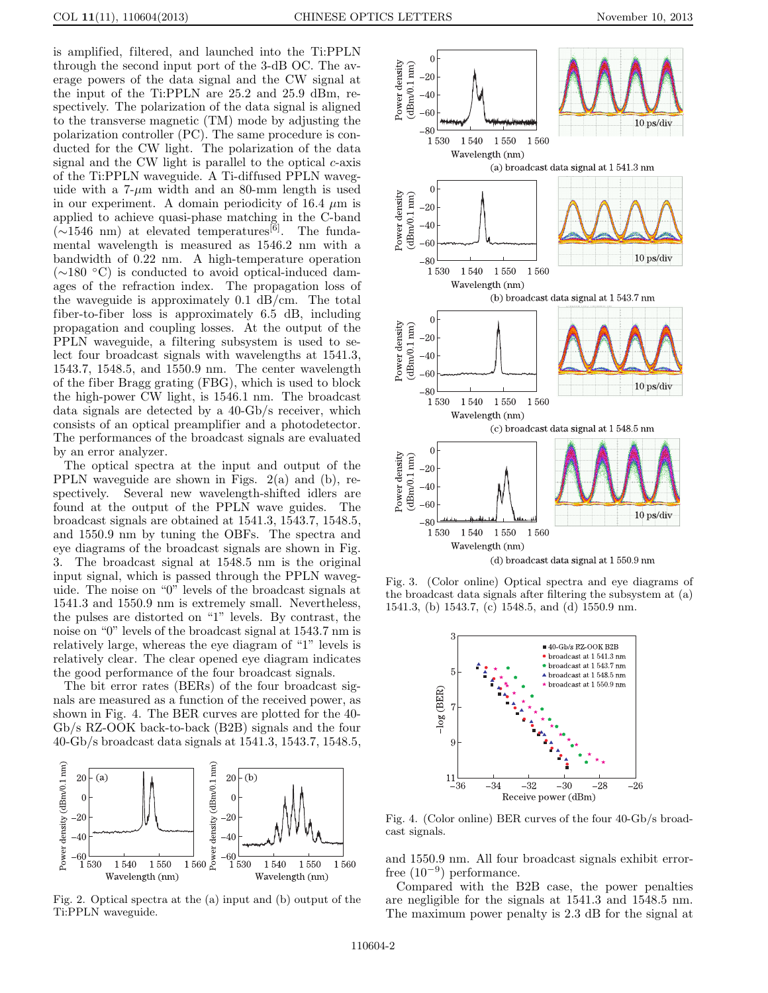is amplified, filtered, and launched into the Ti:PPLN through the second input port of the 3-dB OC. The average powers of the data signal and the CW signal at the input of the Ti:PPLN are 25.2 and 25.9 dBm, respectively. The polarization of the data signal is aligned to the transverse magnetic (TM) mode by adjusting the polarization controller (PC). The same procedure is conducted for the CW light. The polarization of the data signal and the CW light is parallel to the optical  $c$ -axis of the Ti:PPLN waveguide. A Ti-diffused PPLN waveguide with a  $7-\mu m$  width and an 80-mm length is used in our experiment. A domain periodicity of 16.4  $\mu$ m is applied to achieve quasi-phase matching in the C-band  $(\sim 1546$  nm) at elevated temperatures<sup>[6]</sup>. The fundamental wavelength is measured as 1546.2 nm with a bandwidth of 0.22 nm. A high-temperature operation (∼180 ◦C) is conducted to avoid optical-induced damages of the refraction index. The propagation loss of the waveguide is approximately 0.1 dB/cm. The total fiber-to-fiber loss is approximately 6.5 dB, including propagation and coupling losses. At the output of the PPLN waveguide, a filtering subsystem is used to select four broadcast signals with wavelengths at 1541.3, 1543.7, 1548.5, and 1550.9 nm. The center wavelength of the fiber Bragg grating (FBG), which is used to block the high-power CW light, is 1546.1 nm. The broadcast data signals are detected by a 40-Gb/s receiver, which consists of an optical preamplifier and a photodetector. The performances of the broadcast signals are evaluated by an error analyzer.

The optical spectra at the input and output of the PPLN waveguide are shown in Figs. 2(a) and (b), respectively. Several new wavelength-shifted idlers are found at the output of the PPLN wave guides. The broadcast signals are obtained at 1541.3, 1543.7, 1548.5, and 1550.9 nm by tuning the OBFs. The spectra and eye diagrams of the broadcast signals are shown in Fig. 3. The broadcast signal at 1548.5 nm is the original input signal, which is passed through the PPLN waveguide. The noise on "0" levels of the broadcast signals at 1541.3 and 1550.9 nm is extremely small. Nevertheless, the pulses are distorted on "1" levels. By contrast, the noise on "0" levels of the broadcast signal at 1543.7 nm is relatively large, whereas the eye diagram of "1" levels is relatively clear. The clear opened eye diagram indicates the good performance of the four broadcast signals.

The bit error rates (BERs) of the four broadcast signals are measured as a function of the received power, as shown in Fig. 4. The BER curves are plotted for the 40- Gb/s RZ-OOK back-to-back (B2B) signals and the four 40-Gb/s broadcast data signals at 1541.3, 1543.7, 1548.5,



Fig. 2. Optical spectra at the (a) input and (b) output of the Ti:PPLN waveguide.



Fig. 3. (Color online) Optical spectra and eye diagrams of the broadcast data signals after filtering the subsystem at (a) 1541.3, (b) 1543.7, (c) 1548.5, and (d) 1550.9 nm.



Fig. 4. (Color online) BER curves of the four 40-Gb/s broadcast signals.

and 1550.9 nm. All four broadcast signals exhibit errorfree  $(10^{-9})$  performance.

Compared with the B2B case, the power penalties are negligible for the signals at 1541.3 and 1548.5 nm. The maximum power penalty is 2.3 dB for the signal at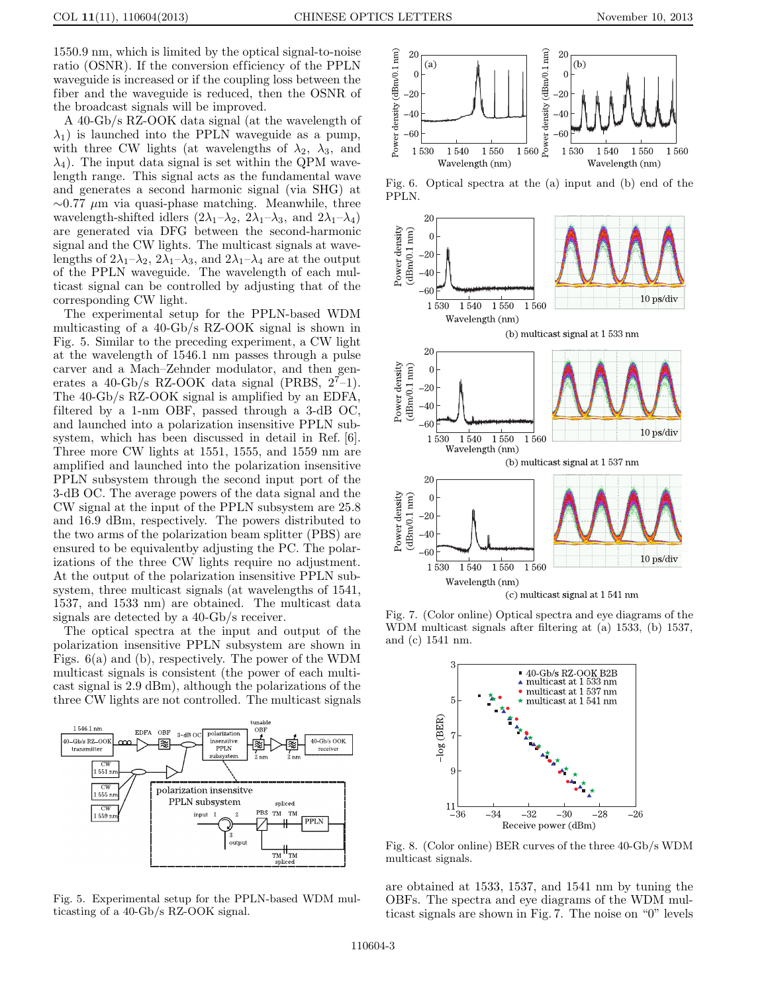1550.9 nm, which is limited by the optical signal-to-noise ratio (OSNR). If the conversion efficiency of the PPLN waveguide is increased or if the coupling loss between the fiber and the waveguide is reduced, then the OSNR of the broadcast signals will be improved.

A 40-Gb/s RZ-OOK data signal (at the wavelength of  $\lambda_1$ ) is launched into the PPLN waveguide as a pump, with three CW lights (at wavelengths of  $\lambda_2$ ,  $\lambda_3$ , and  $\lambda_4$ ). The input data signal is set within the QPM wavelength range. This signal acts as the fundamental wave and generates a second harmonic signal (via SHG) at  $\sim$ 0.77 µm via quasi-phase matching. Meanwhile, three wavelength-shifted idlers  $(2\lambda_1-\lambda_2, 2\lambda_1-\lambda_3,$  and  $2\lambda_1-\lambda_4$ ) are generated via DFG between the second-harmonic signal and the CW lights. The multicast signals at wavelengths of  $2\lambda_1-\lambda_2$ ,  $2\lambda_1-\lambda_3$ , and  $2\lambda_1-\lambda_4$  are at the output of the PPLN waveguide. The wavelength of each multicast signal can be controlled by adjusting that of the corresponding CW light.

The experimental setup for the PPLN-based WDM multicasting of a 40-Gb/s RZ-OOK signal is shown in Fig. 5. Similar to the preceding experiment, a CW light at the wavelength of 1546.1 nm passes through a pulse carver and a Mach–Zehnder modulator, and then generates a 40-Gb/s RZ-OOK data signal (PRBS,  $2^7-1$ ). The 40-Gb/s RZ-OOK signal is amplified by an EDFA, filtered by a 1-nm OBF, passed through a 3-dB OC, and launched into a polarization insensitive PPLN subsystem, which has been discussed in detail in Ref. [6]. Three more CW lights at 1551, 1555, and 1559 nm are amplified and launched into the polarization insensitive PPLN subsystem through the second input port of the 3-dB OC. The average powers of the data signal and the CW signal at the input of the PPLN subsystem are 25.8 and 16.9 dBm, respectively. The powers distributed to the two arms of the polarization beam splitter (PBS) are ensured to be equivalentby adjusting the PC. The polarizations of the three CW lights require no adjustment. At the output of the polarization insensitive PPLN subsystem, three multicast signals (at wavelengths of 1541, 1537, and 1533 nm) are obtained. The multicast data signals are detected by a 40-Gb/s receiver.

The optical spectra at the input and output of the polarization insensitive PPLN subsystem are shown in Figs. 6(a) and (b), respectively. The power of the WDM multicast signals is consistent (the power of each multicast signal is 2.9 dBm), although the polarizations of the three CW lights are not controlled. The multicast signals



Fig. 5. Experimental setup for the PPLN-based WDM multicasting of a 40-Gb/s RZ-OOK signal.



Fig. 6. Optical spectra at the (a) input and (b) end of the PPLN.



Fig. 7. (Color online) Optical spectra and eye diagrams of the WDM multicast signals after filtering at (a) 1533, (b) 1537, and (c) 1541 nm.



Fig. 8. (Color online) BER curves of the three 40-Gb/s WDM multicast signals.

are obtained at 1533, 1537, and 1541 nm by tuning the OBFs. The spectra and eye diagrams of the WDM multicast signals are shown in Fig.7. The noise on "0" levels